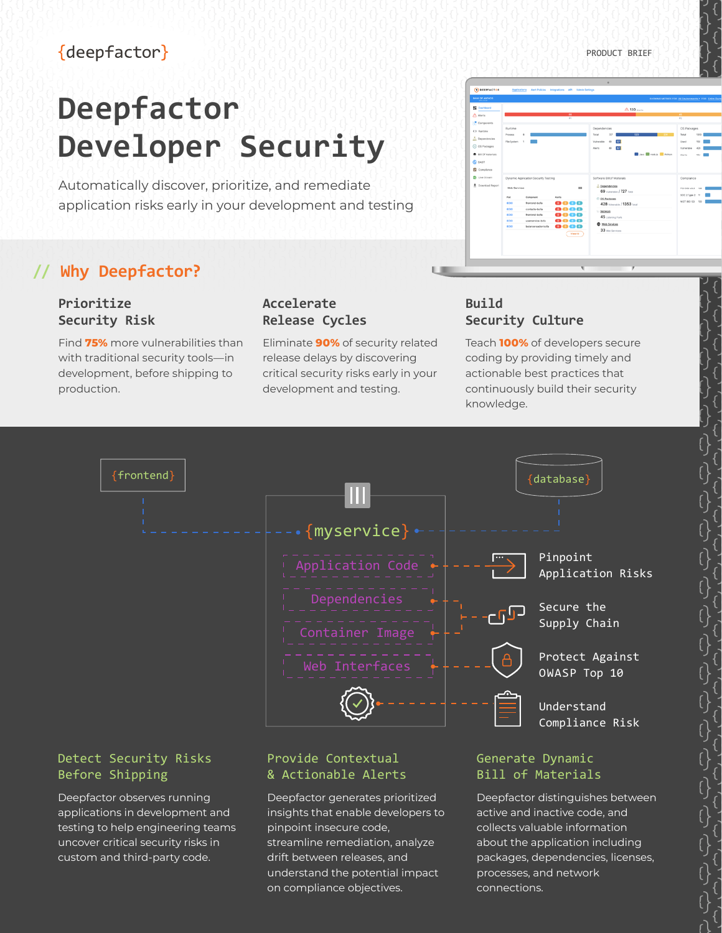# {deepfactor}

# **Deepfactor Developer Security**

Automatically discover, prioritize, and remediate application risks early in your development and testing

# **// Why Deepfactor?**

# **Prioritize Security Risk**

Find **75%** more vulnerabilities than with traditional security tools—in development, before shipping to production.

# **Accelerate Release Cycles**

Eliminate **90%** of security related release delays by discovering critical security risks early in your development and testing.

# **Build Security Culture**

**C** DAT<br>**C** Complete<br>**C** Live Stree

**LID** 

Teach **100%** of developers secure coding by providing timely and actionable best practices that continuously build their security knowledge.



## Detect Security Risks Before Shipping

Deepfactor observes running applications in development and testing to help engineering teams uncover critical security risks in custom and third-party code.

# Provide Contextual & Actionable Alerts

Deepfactor generates prioritized insights that enable developers to pinpoint insecure code, streamline remediation, analyze drift between releases, and understand the potential impact on compliance objectives.

# Generate Dynamic Bill of Materials

Deepfactor distinguishes between active and inactive code, and collects valuable information about the application including packages, dependencies, licenses, processes, and network connections.



PRODUCT BRIEF

 $^{\circ}$  130